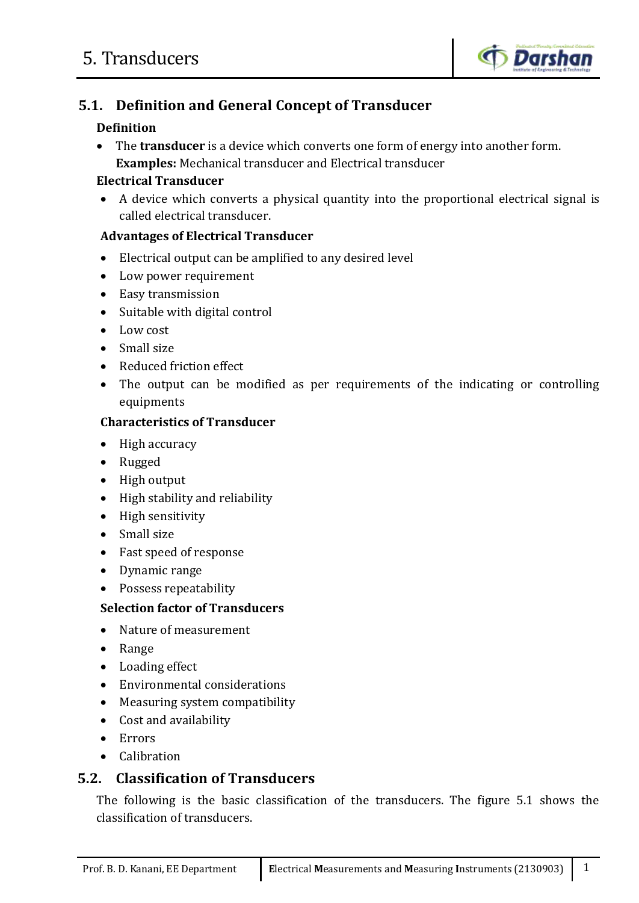

# **5.1. Definition and General Concept of Transducer**

# **Definition**

 The **transducer** is a device which converts one form of energy into another form. **Examples:** Mechanical transducer and Electrical transducer

# **Electrical Transducer**

 A device which converts a physical quantity into the proportional electrical signal is called electrical transducer.

# **Advantages of Electrical Transducer**

- Electrical output can be amplified to any desired level
- Low power requirement
- Easy transmission
- Suitable with digital control
- Low cost
- Small size
- Reduced friction effect
- The output can be modified as per requirements of the indicating or controlling equipments

# **Characteristics of Transducer**

- High accuracy
- Rugged
- High output
- High stability and reliability
- High sensitivity
- Small size
- Fast speed of response
- Dynamic range
- Possess repeatability

# **Selection factor of Transducers**

- Nature of measurement
- Range
- Loading effect
- Environmental considerations
- Measuring system compatibility
- Cost and availability
- Errors
- Calibration

# **5.2. Classification of Transducers**

The following is the basic classification of the transducers. The figure 5.1 shows the classification of transducers.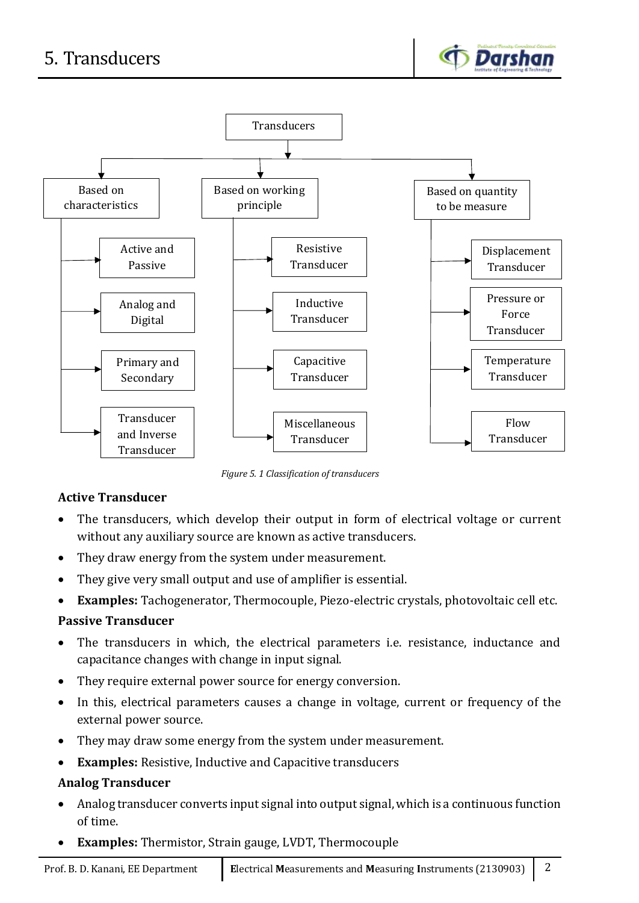



*Figure 5. 1 Classification of transducers*

# **Active Transducer**

- The transducers, which develop their output in form of electrical voltage or current without any auxiliary source are known as active transducers.
- They draw energy from the system under measurement.
- They give very small output and use of amplifier is essential.
- **Examples:** Tachogenerator, Thermocouple, Piezo-electric crystals, photovoltaic cell etc.

#### **Passive Transducer**

- The transducers in which, the electrical parameters i.e. resistance, inductance and capacitance changes with change in input signal.
- They require external power source for energy conversion.
- In this, electrical parameters causes a change in voltage, current or frequency of the external power source.
- They may draw some energy from the system under measurement.
- **Examples:** Resistive, Inductive and Capacitive transducers

# **Analog Transducer**

- Analog transducer converts input signal into output signal, which is a continuous function of time.
- **Examples:** Thermistor, Strain gauge, LVDT, Thermocouple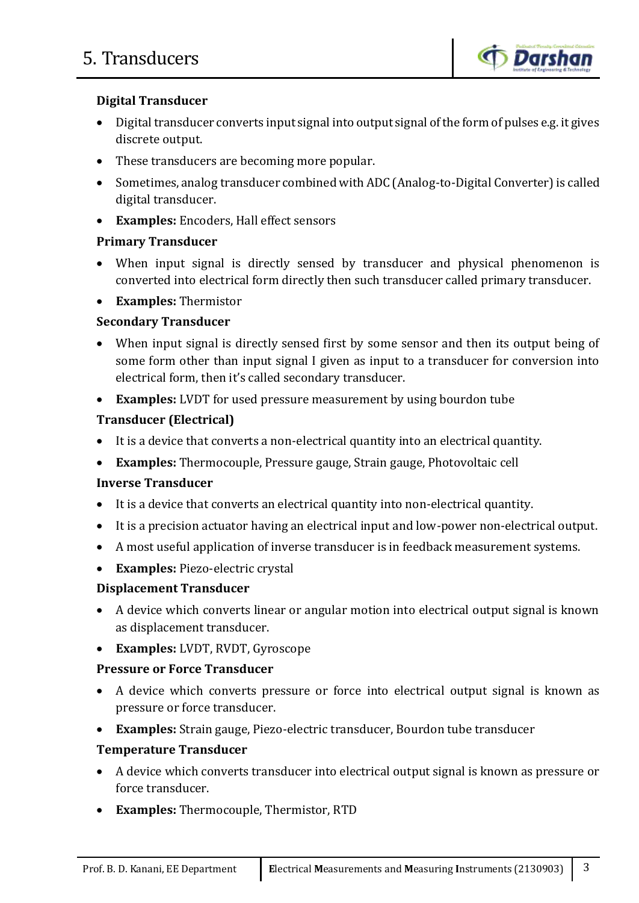

# **Digital Transducer**

- Digital transducer converts input signal into output signal of the form of pulses e.g. it gives discrete output.
- These transducers are becoming more popular.
- Sometimes, analog transducer combined with ADC (Analog-to-Digital Converter) is called digital transducer.
- **Examples:** Encoders, Hall effect sensors

# **Primary Transducer**

- When input signal is directly sensed by transducer and physical phenomenon is converted into electrical form directly then such transducer called primary transducer.
- **Examples:** Thermistor

# **Secondary Transducer**

- When input signal is directly sensed first by some sensor and then its output being of some form other than input signal I given as input to a transducer for conversion into electrical form, then it's called secondary transducer.
- **Examples:** LVDT for used pressure measurement by using bourdon tube

# **Transducer (Electrical)**

- It is a device that converts a non-electrical quantity into an electrical quantity.
- **Examples:** Thermocouple, Pressure gauge, Strain gauge, Photovoltaic cell

# **Inverse Transducer**

- It is a device that converts an electrical quantity into non-electrical quantity.
- It is a precision actuator having an electrical input and low-power non-electrical output.
- A most useful application of inverse transducer is in feedback measurement systems.
- **Examples:** Piezo-electric crystal

# **Displacement Transducer**

- A device which converts linear or angular motion into electrical output signal is known as displacement transducer.
- **Examples:** LVDT, RVDT, Gyroscope

# **Pressure or Force Transducer**

- A device which converts pressure or force into electrical output signal is known as pressure or force transducer.
- **Examples:** Strain gauge, Piezo-electric transducer, Bourdon tube transducer

# **Temperature Transducer**

- A device which converts transducer into electrical output signal is known as pressure or force transducer.
- **Examples:** Thermocouple, Thermistor, RTD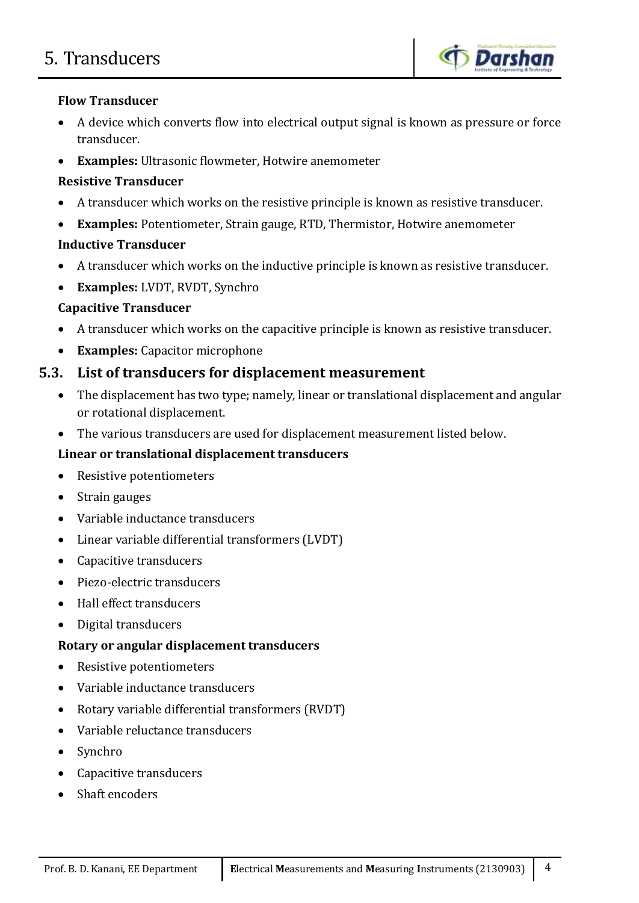

#### **Flow Transducer**

- A device which converts flow into electrical output signal is known as pressure or force transducer.
- **Examples:** Ultrasonic flowmeter, Hotwire anemometer

# **Resistive Transducer**

- A transducer which works on the resistive principle is known as resistive transducer.
- **Examples:** Potentiometer, Strain gauge, RTD, Thermistor, Hotwire anemometer

# **Inductive Transducer**

- A transducer which works on the inductive principle is known as resistive transducer.
- **Examples:** LVDT, RVDT, Synchro

# **Capacitive Transducer**

- A transducer which works on the capacitive principle is known as resistive transducer.
- **Examples:** Capacitor microphone

# **5.3. List of transducers for displacement measurement**

- The displacement has two type; namely, linear or translational displacement and angular or rotational displacement.
- The various transducers are used for displacement measurement listed below.

# **Linear or translational displacement transducers**

- Resistive potentiometers
- Strain gauges
- Variable inductance transducers
- Linear variable differential transformers (LVDT)
- Capacitive transducers
- Piezo-electric transducers
- Hall effect transducers
- Digital transducers

# **Rotary or angular displacement transducers**

- Resistive potentiometers
- Variable inductance transducers
- Rotary variable differential transformers (RVDT)
- Variable reluctance transducers
- Synchro
- Capacitive transducers
- Shaft encoders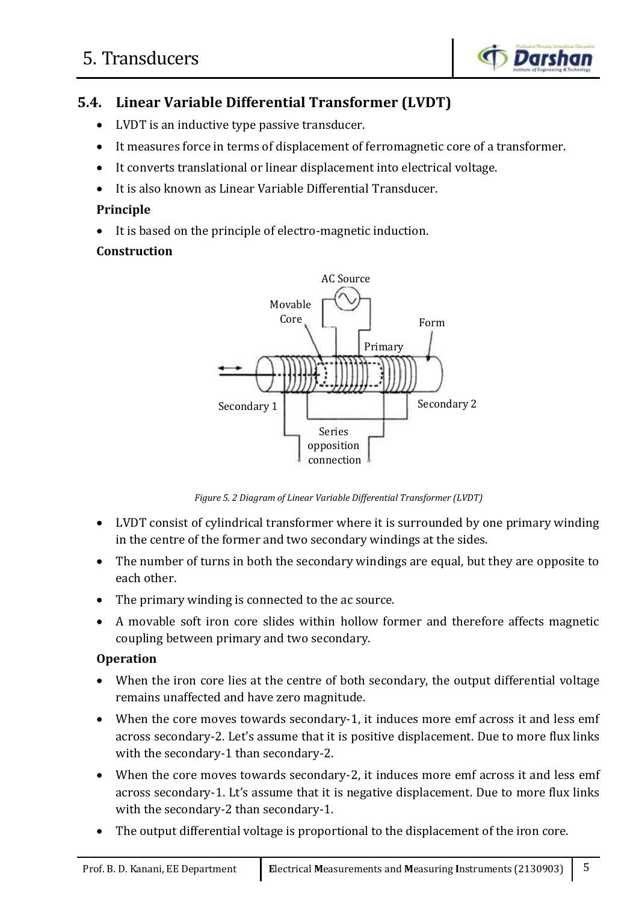

# **5.4. Linear Variable Differential Transformer (LVDT)**

- LVDT is an inductive type passive transducer.
- It measures force in terms of displacement of ferromagnetic core of a transformer.
- It converts translational or linear displacement into electrical voltage.
- It is also known as Linear Variable Differential Transducer.

#### **Principle**

It is based on the principle of electro-magnetic induction.

#### **Construction**



*Figure 5. 2 Diagram of Linear Variable Differential Transformer (LVDT)*

- LVDT consist of cylindrical transformer where it is surrounded by one primary winding in the centre of the former and two secondary windings at the sides.
- The number of turns in both the secondary windings are equal, but they are opposite to each other.
- The primary winding is connected to the ac source.
- A movable soft iron core slides within hollow former and therefore affects magnetic coupling between primary and two secondary.

#### **Operation**

- When the iron core lies at the centre of both secondary, the output differential voltage remains unaffected and have zero magnitude.
- When the core moves towards secondary-1, it induces more emf across it and less emf across secondary-2. Let's assume that it is positive displacement. Due to more flux links with the secondary-1 than secondary-2.
- When the core moves towards secondary-2, it induces more emf across it and less emf across secondary-1. Lt's assume that it is negative displacement. Due to more flux links with the secondary-2 than secondary-1.
- The output differential voltage is proportional to the displacement of the iron core.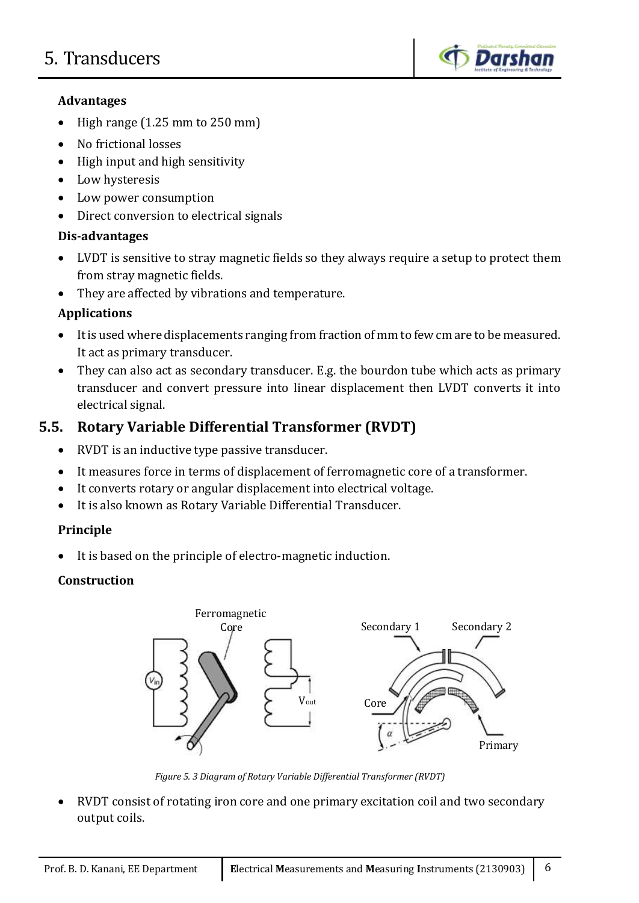

# **Advantages**

- $\bullet$  High range (1.25 mm to 250 mm)
- No frictional losses
- $\bullet$  High input and high sensitivity
- Low hysteresis
- Low power consumption
- Direct conversion to electrical signals

# **Dis-advantages**

- LVDT is sensitive to stray magnetic fields so they always require a setup to protect them from stray magnetic fields.
- They are affected by vibrations and temperature.

# **Applications**

- It is used where displacements ranging from fraction of mm to few cm are to be measured. It act as primary transducer.
- They can also act as secondary transducer. E.g. the bourdon tube which acts as primary transducer and convert pressure into linear displacement then LVDT converts it into electrical signal.

# **5.5. Rotary Variable Differential Transformer (RVDT)**

- RVDT is an inductive type passive transducer.
- It measures force in terms of displacement of ferromagnetic core of a transformer.
- It converts rotary or angular displacement into electrical voltage.
- It is also known as Rotary Variable Differential Transducer.

# **Principle**

It is based on the principle of electro-magnetic induction.

# **Construction**



*Figure 5. 3 Diagram of Rotary Variable Differential Transformer (RVDT)*

 RVDT consist of rotating iron core and one primary excitation coil and two secondary output coils.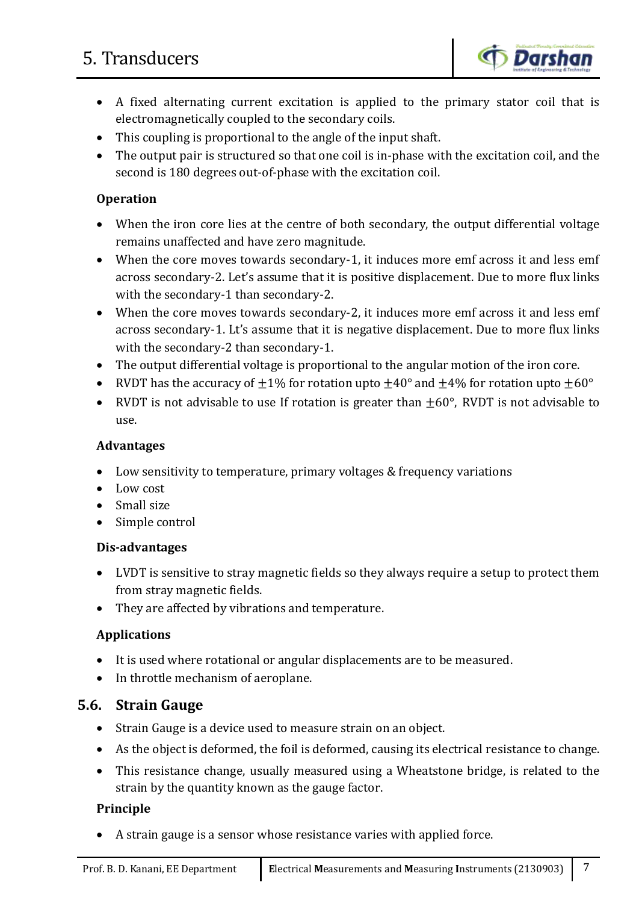

- A fixed alternating current excitation is applied to the primary stator coil that is electromagnetically coupled to the secondary coils.
- This coupling is proportional to the angle of the input shaft.
- The output pair is structured so that one coil is in-phase with the excitation coil, and the second is 180 degrees out-of-phase with the excitation coil.

#### **Operation**

- When the iron core lies at the centre of both secondary, the output differential voltage remains unaffected and have zero magnitude.
- When the core moves towards secondary-1, it induces more emf across it and less emf across secondary-2. Let's assume that it is positive displacement. Due to more flux links with the secondary-1 than secondary-2.
- When the core moves towards secondary-2, it induces more emf across it and less emf across secondary-1. Lt's assume that it is negative displacement. Due to more flux links with the secondary-2 than secondary-1.
- The output differential voltage is proportional to the angular motion of the iron core.
- RVDT has the accuracy of  $\pm 1\%$  for rotation upto  $\pm 40^{\circ}$  and  $\pm 4\%$  for rotation upto  $\pm 60^{\circ}$
- RVDT is not advisable to use If rotation is greater than  $\pm 60^\circ$ , RVDT is not advisable to use.

#### **Advantages**

- Low sensitivity to temperature, primary voltages & frequency variations
- Low cost
- Small size
- Simple control

#### **Dis-advantages**

- LVDT is sensitive to stray magnetic fields so they always require a setup to protect them from stray magnetic fields.
- They are affected by vibrations and temperature.

#### **Applications**

- It is used where rotational or angular displacements are to be measured.
- In throttle mechanism of aeroplane.

# **5.6. Strain Gauge**

- Strain Gauge is a device used to measure strain on an object.
- As the object is deformed, the foil is deformed, causing its electrical resistance to change.
- This resistance change, usually measured using a Wheatstone bridge, is related to the strain by the quantity known as the gauge factor.

#### **Principle**

A strain gauge is a sensor whose resistance varies with applied force.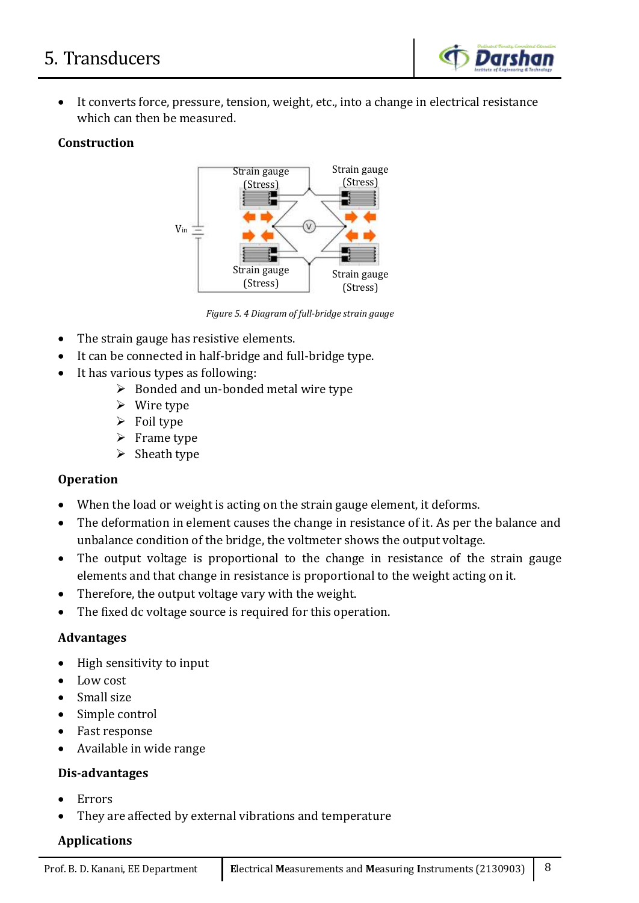

 It converts force, pressure, tension, weight, etc., into a change in electrical resistance which can then be measured.

# **Construction**



*Figure 5. 4 Diagram of full-bridge strain gauge*

- The strain gauge has resistive elements.
- It can be connected in half-bridge and full-bridge type.
- It has various types as following:
	- $\triangleright$  Bonded and un-bonded metal wire type
	- $\triangleright$  Wire type
	- $\triangleright$  Foil type
	- $\triangleright$  Frame type
	- $\triangleright$  Sheath type

#### **Operation**

- When the load or weight is acting on the strain gauge element, it deforms.
- The deformation in element causes the change in resistance of it. As per the balance and unbalance condition of the bridge, the voltmeter shows the output voltage.
- The output voltage is proportional to the change in resistance of the strain gauge elements and that change in resistance is proportional to the weight acting on it.
- Therefore, the output voltage vary with the weight.
- The fixed dc voltage source is required for this operation.

#### **Advantages**

- High sensitivity to input
- Low cost
- Small size
- Simple control
- Fast response
- Available in wide range

#### **Dis-advantages**

- Errors
- They are affected by external vibrations and temperature

# **Applications**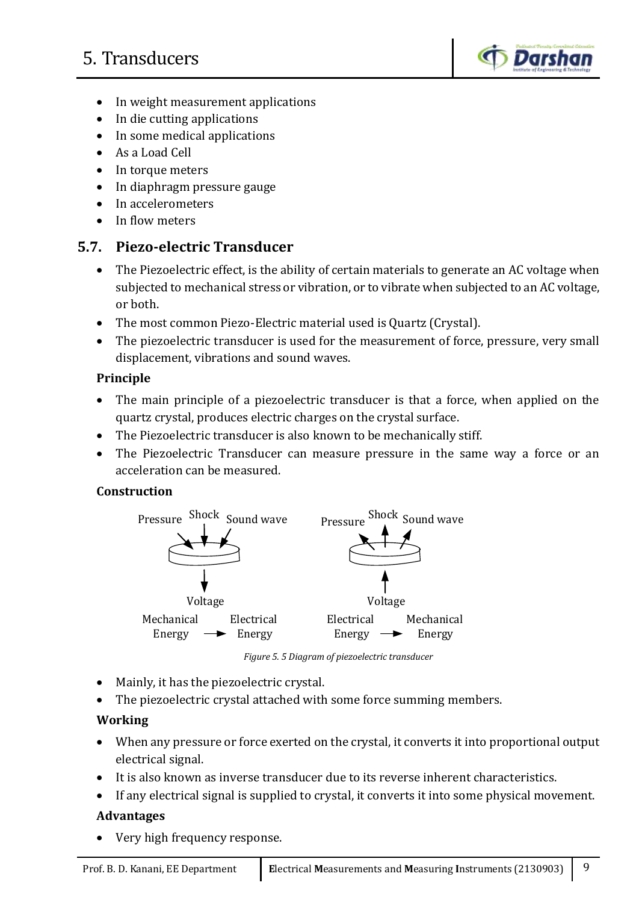

- In weight measurement applications
- In die cutting applications
- In some medical applications
- As a Load Cell
- In torque meters
- In diaphragm pressure gauge
- In accelerometers
- In flow meters

# **5.7. Piezo-electric Transducer**

- The Piezoelectric effect, is the ability of certain materials to generate an AC voltage when subjected to mechanical stress or vibration, or to vibrate when subjected to an AC voltage, or both.
- The most common Piezo-Electric material used is Quartz (Crystal).
- The piezoelectric transducer is used for the measurement of force, pressure, very small displacement, vibrations and sound waves.

# **Principle**

- The main principle of a piezoelectric transducer is that a force, when applied on the quartz crystal, produces electric charges on the crystal surface.
- The Piezoelectric transducer is also known to be mechanically stiff.
- The Piezoelectric Transducer can measure pressure in the same way a force or an acceleration can be measured.

# **Construction**



*Figure 5. 5 Diagram of piezoelectric transducer*

- Mainly, it has the piezoelectric crystal.
- The piezoelectric crystal attached with some force summing members.

# **Working**

- When any pressure or force exerted on the crystal, it converts it into proportional output electrical signal.
- It is also known as inverse transducer due to its reverse inherent characteristics.
- If any electrical signal is supplied to crystal, it converts it into some physical movement.

# **Advantages**

Very high frequency response.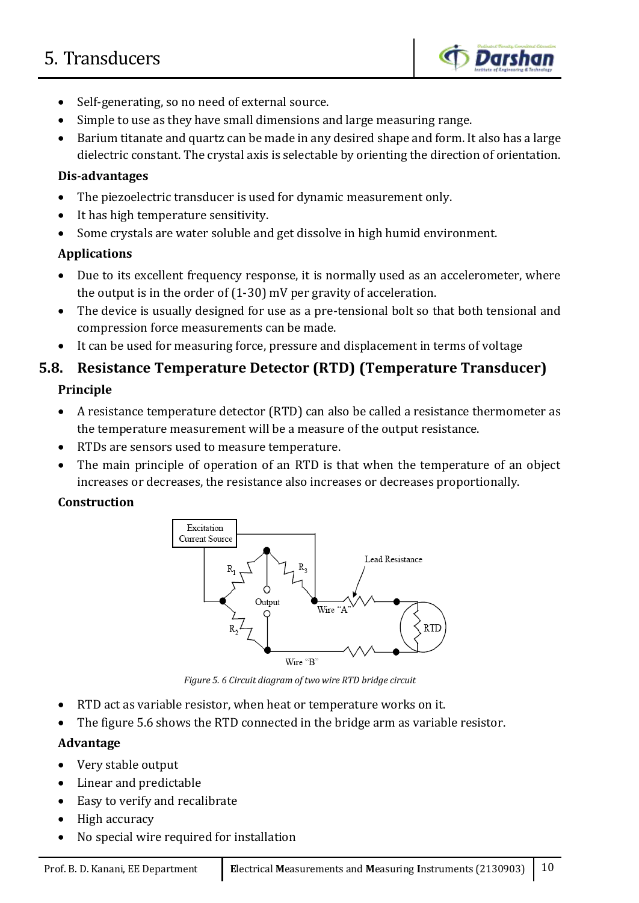

- Self-generating, so no need of external source.
- Simple to use as they have small dimensions and large measuring range.
- Barium titanate and quartz can be made in any desired shape and form. It also has a large dielectric constant. The crystal axis is selectable by orienting the direction of orientation.

#### **Dis-advantages**

- The piezoelectric transducer is used for dynamic measurement only.
- It has high temperature sensitivity.
- Some crystals are water soluble and get dissolve in high humid environment.

# **Applications**

- Due to its excellent frequency response, it is normally used as an accelerometer, where the output is in the order of (1-30) mV per gravity of acceleration.
- The device is usually designed for use as a pre-tensional bolt so that both tensional and compression force measurements can be made.
- It can be used for measuring force, pressure and displacement in terms of voltage

# **5.8. Resistance Temperature Detector (RTD) (Temperature Transducer) Principle**

- A resistance temperature detector (RTD) can also be called a resistance thermometer as the temperature measurement will be a measure of the output resistance.
- RTDs are sensors used to measure temperature.
- The main principle of operation of an RTD is that when the temperature of an object increases or decreases, the resistance also increases or decreases proportionally.

# **Construction**



*Figure 5. 6 Circuit diagram of two wire RTD bridge circuit*

- RTD act as variable resistor, when heat or temperature works on it.
- The figure 5.6 shows the RTD connected in the bridge arm as variable resistor.

# **Advantage**

- Very stable output
- Linear and predictable
- Easy to verify and recalibrate
- High accuracy
- No special wire required for installation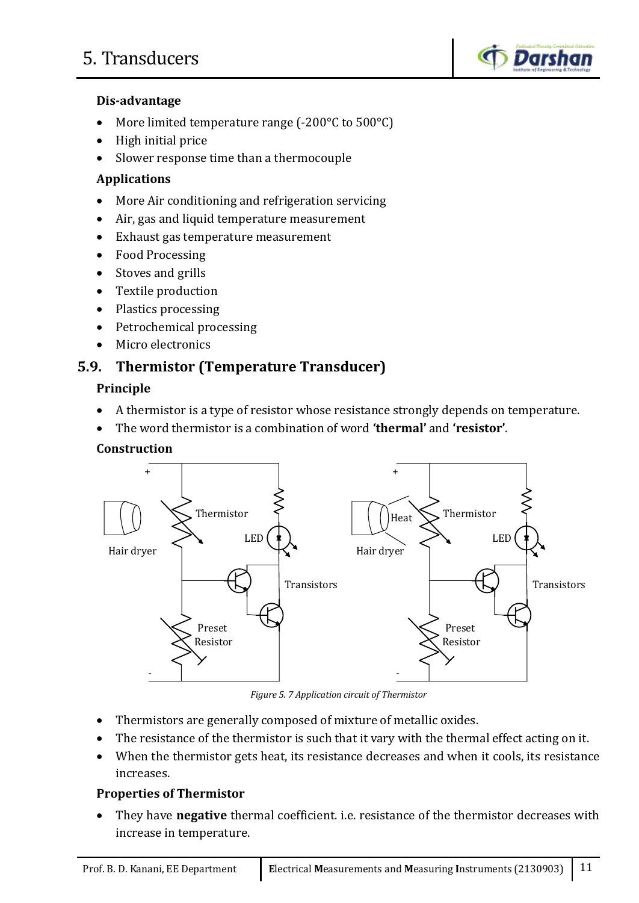

# **Dis-advantage**

- More limited temperature range (-200°C to 500°C)
- High initial price
- Slower response time than a thermocouple

#### **Applications**

- More Air conditioning and refrigeration servicing
- Air, gas and liquid temperature measurement
- Exhaust gas temperature measurement
- Food Processing
- Stoves and grills
- Textile production
- Plastics processing
- Petrochemical processing
- Micro electronics

# **5.9. Thermistor (Temperature Transducer)**

#### **Principle**

- A thermistor is a type of resistor whose resistance strongly depends on temperature.
- The word thermistor is a combination of word **'thermal'** and **'resistor'**.

#### **Construction**



*Figure 5. 7 Application circuit of Thermistor*

- Thermistors are generally composed of mixture of metallic oxides.
- The resistance of the thermistor is such that it vary with the thermal effect acting on it.
- When the thermistor gets heat, its resistance decreases and when it cools, its resistance increases.

#### **Properties of Thermistor**

 They have **negative** thermal coefficient. i.e. resistance of the thermistor decreases with increase in temperature.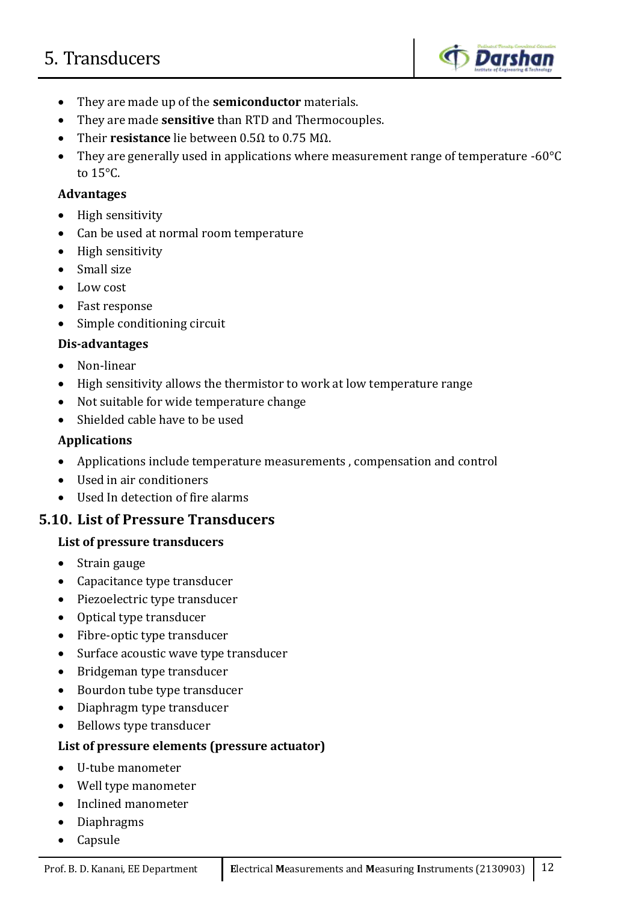

- They are made up of the **semiconductor** materials.
- They are made **sensitive** than RTD and Thermocouples.
- Their **resistance** lie between 0.5Ω to 0.75 MΩ.
- They are generally used in applications where measurement range of temperature -60°C to 15°C.

#### **Advantages**

- High sensitivity
- Can be used at normal room temperature
- High sensitivity
- Small size
- Low cost
- Fast response
- Simple conditioning circuit

#### **Dis-advantages**

- Non-linear
- High sensitivity allows the thermistor to work at low temperature range
- Not suitable for wide temperature change
- Shielded cable have to be used

#### **Applications**

- Applications include temperature measurements , compensation and control
- Used in air conditioners
- Used In detection of fire alarms

# **5.10. List of Pressure Transducers**

#### **List of pressure transducers**

- Strain gauge
- Capacitance type transducer
- Piezoelectric type transducer
- Optical type transducer
- Fibre-optic type transducer
- Surface acoustic wave type transducer
- Bridgeman type transducer
- Bourdon tube type transducer
- Diaphragm type transducer
- Bellows type transducer

#### **List of pressure elements (pressure actuator)**

- U-tube manometer
- Well type manometer
- Inclined manometer
- Diaphragms
- Capsule